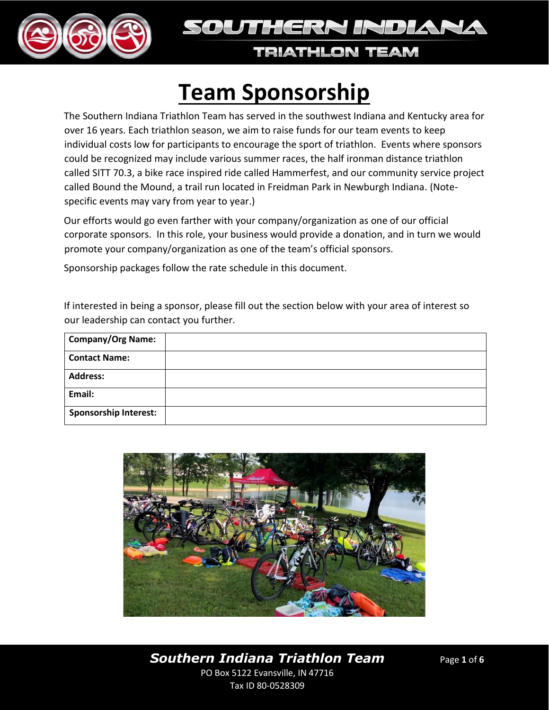



# **Team Sponsorship**

The Southern Indiana Triathlon Team has served in the southwest Indiana and Kentucky area for over 16 years. Each triathlon season, we aim to raise funds for our team events to keep individual costs low for participants to encourage the sport of triathlon. Events where sponsors could be recognized may include various summer races, the half ironman distance triathlon called SITT 70.3, a bike race inspired ride called Hammerfest, and our community service project called Bound the Mound, a trail run located in Freidman Park in Newburgh Indiana. (Notespecific events may vary from year to year.)

Our efforts would go even farther with your company/organization as one of our official corporate sponsors. In this role, your business would provide a donation, and in turn we would promote your company/organization as one of the team's official sponsors.

Sponsorship packages follow the rate schedule in this document.

If interested in being a sponsor, please fill out the section below with your area of interest so our leadership can contact you further.

| <b>Company/Org Name:</b>     |  |
|------------------------------|--|
| <b>Contact Name:</b>         |  |
| <b>Address:</b>              |  |
| Email:                       |  |
| <b>Sponsorship Interest:</b> |  |

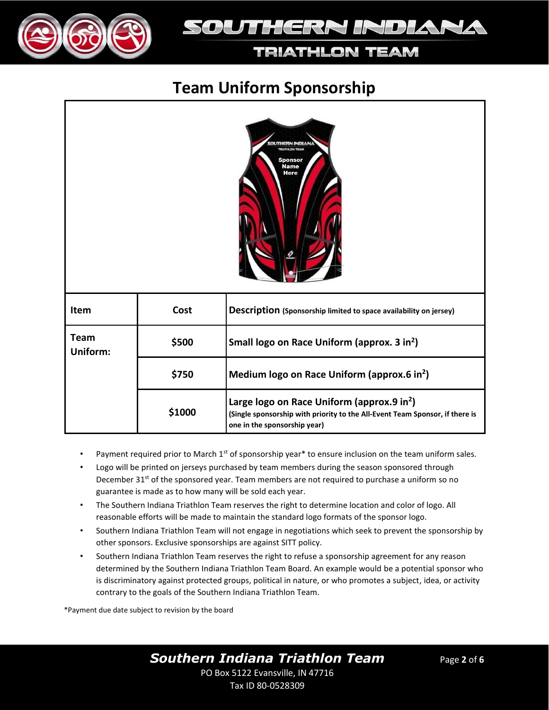

## SOUTHERN INDIANA

#### **TRIATHLON TEAM**

## **Team Uniform Sponsorship**



| <b>Item</b>      | Cost   | Description (Sponsorship limited to space availability on jersey)                                                                                                      |
|------------------|--------|------------------------------------------------------------------------------------------------------------------------------------------------------------------------|
| Team<br>Uniform: | \$500  | Small logo on Race Uniform (approx. 3 in <sup>2</sup> )                                                                                                                |
|                  | \$750  | Medium logo on Race Uniform (approx.6 in <sup>2</sup> )                                                                                                                |
|                  | \$1000 | Large logo on Race Uniform (approx.9 in <sup>2</sup> )<br>(Single sponsorship with priority to the All-Event Team Sponsor, if there is<br>one in the sponsorship year) |

- Payment required prior to March  $1<sup>st</sup>$  of sponsorship year\* to ensure inclusion on the team uniform sales.
- Logo will be printed on jerseys purchased by team members during the season sponsored through December 31<sup>st</sup> of the sponsored year. Team members are not required to purchase a uniform so no guarantee is made as to how many will be sold each year.
- The Southern Indiana Triathlon Team reserves the right to determine location and color of logo. All reasonable efforts will be made to maintain the standard logo formats of the sponsor logo.
- Southern Indiana Triathlon Team will not engage in negotiations which seek to prevent the sponsorship by other sponsors. Exclusive sponsorships are against SITT policy.
- Southern Indiana Triathlon Team reserves the right to refuse a sponsorship agreement for any reason determined by the Southern Indiana Triathlon Team Board. An example would be a potential sponsor who is discriminatory against protected groups, political in nature, or who promotes a subject, idea, or activity contrary to the goals of the Southern Indiana Triathlon Team.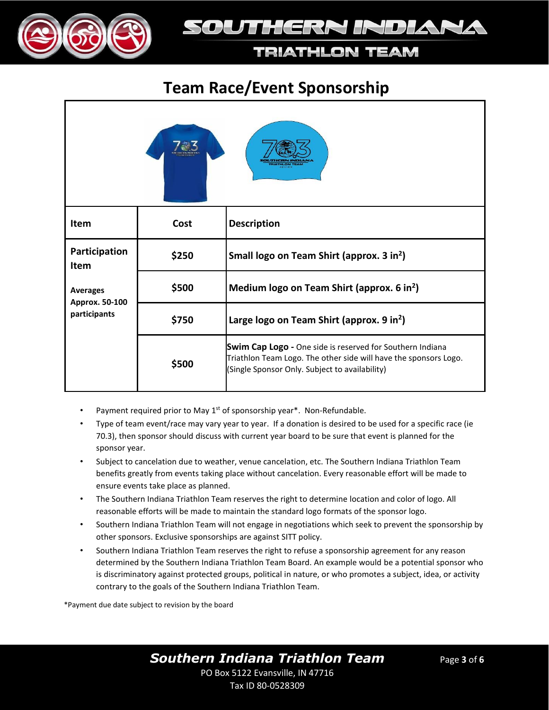

## SOUTHERN INDIANA

### **TRIATHLON TEAM**

## **Team Race/Event Sponsorship**

| Item                                                                       | Cost  | <b>Description</b>                                                                                                                                                                     |
|----------------------------------------------------------------------------|-------|----------------------------------------------------------------------------------------------------------------------------------------------------------------------------------------|
| Participation<br>Item<br><b>Averages</b><br>Approx. 50-100<br>participants | \$250 | Small logo on Team Shirt (approx. 3 in <sup>2</sup> )                                                                                                                                  |
|                                                                            | \$500 | Medium logo on Team Shirt (approx. 6 in <sup>2</sup> )                                                                                                                                 |
|                                                                            | \$750 | Large logo on Team Shirt (approx. 9 in <sup>2</sup> )                                                                                                                                  |
|                                                                            | \$500 | <b>Swim Cap Logo</b> - One side is reserved for Southern Indiana<br>Triathlon Team Logo. The other side will have the sponsors Logo.<br>(Single Sponsor Only. Subject to availability) |

- Payment required prior to May 1<sup>st</sup> of sponsorship year\*. Non-Refundable.
- Type of team event/race may vary year to year. If a donation is desired to be used for a specific race (ie 70.3), then sponsor should discuss with current year board to be sure that event is planned for the sponsor year.
- Subject to cancelation due to weather, venue cancelation, etc. The Southern Indiana Triathlon Team benefits greatly from events taking place without cancelation. Every reasonable effort will be made to ensure events take place as planned.
- The Southern Indiana Triathlon Team reserves the right to determine location and color of logo. All reasonable efforts will be made to maintain the standard logo formats of the sponsor logo.
- Southern Indiana Triathlon Team will not engage in negotiations which seek to prevent the sponsorship by other sponsors. Exclusive sponsorships are against SITT policy.
- Southern Indiana Triathlon Team reserves the right to refuse a sponsorship agreement for any reason determined by the Southern Indiana Triathlon Team Board. An example would be a potential sponsor who is discriminatory against protected groups, political in nature, or who promotes a subject, idea, or activity contrary to the goals of the Southern Indiana Triathlon Team.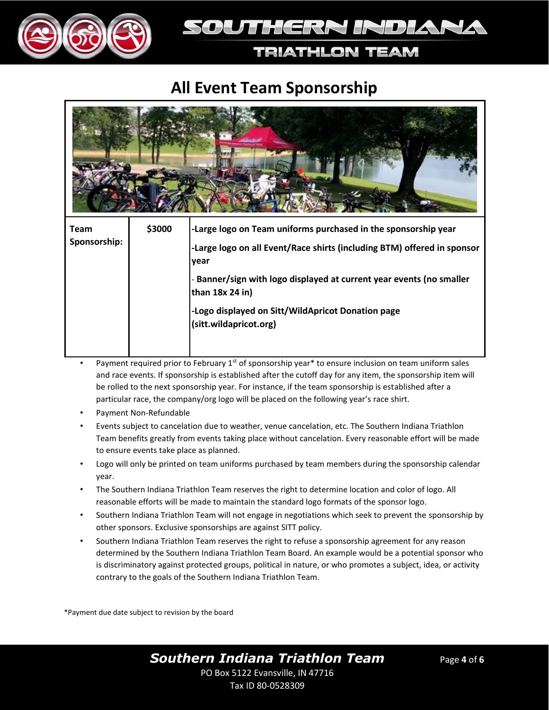



## **All Event Team Sponsorship**



|  | lvear                                                                                   |
|--|-----------------------------------------------------------------------------------------|
|  | - Banner/sign with logo displayed at current year events (no smaller<br>than 18x 24 in) |
|  | -Logo displayed on Sitt/WildApricot Donation page<br>(sitt.wildapricot.org)             |

- Payment required prior to February  $1<sup>st</sup>$  of sponsorship year\* to ensure inclusion on team uniform sales and race events. If sponsorship is established after the cutoff day for any item, the sponsorship item will be rolled to the next sponsorship year. For instance, if the team sponsorship is established after a particular race, the company/org logo will be placed on the following year's race shirt.
- Payment Non-Refundable
- Events subject to cancelation due to weather, venue cancelation, etc. The Southern Indiana Triathlon Team benefits greatly from events taking place without cancelation. Every reasonable effort will be made to ensure events take place as planned.
- Logo will only be printed on team uniforms purchased by team members during the sponsorship calendar year.
- The Southern Indiana Triathlon Team reserves the right to determine location and color of logo. All reasonable efforts will be made to maintain the standard logo formats of the sponsor logo.
- Southern Indiana Triathlon Team will not engage in negotiations which seek to prevent the sponsorship by other sponsors. Exclusive sponsorships are against SITT policy.
- Southern Indiana Triathlon Team reserves the right to refuse a sponsorship agreement for any reason determined by the Southern Indiana Triathlon Team Board. An example would be a potential sponsor who is discriminatory against protected groups, political in nature, or who promotes a subject, idea, or activity contrary to the goals of the Southern Indiana Triathlon Team.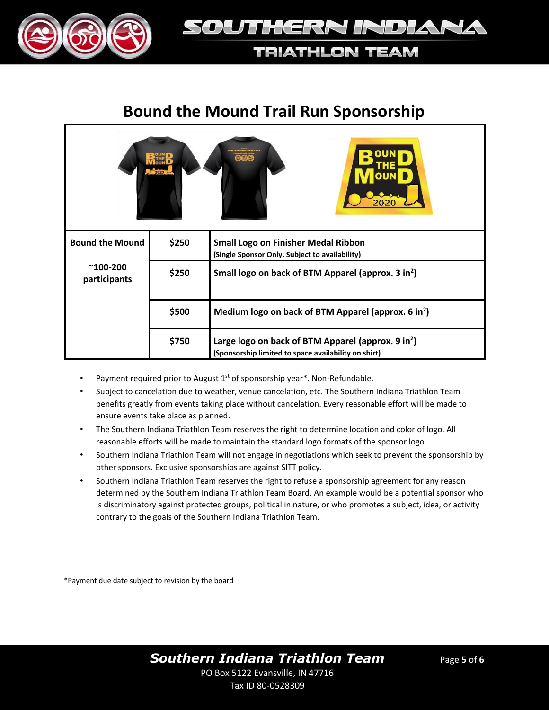



## **Bound the Mound Trail Run Sponsorship**

| ෧෬෧                               |       |                                                                                                                        |  |  |
|-----------------------------------|-------|------------------------------------------------------------------------------------------------------------------------|--|--|
| <b>Bound the Mound</b>            | \$250 | <b>Small Logo on Finisher Medal Ribbon</b><br>(Single Sponsor Only. Subject to availability)                           |  |  |
| $^{\sim}$ 100-200<br>participants | \$250 | Small logo on back of BTM Apparel (approx. 3 in <sup>2</sup> )                                                         |  |  |
|                                   | \$500 | Medium logo on back of BTM Apparel (approx. 6 in <sup>2</sup> )                                                        |  |  |
|                                   | \$750 | Large logo on back of BTM Apparel (approx. 9 in <sup>2</sup> )<br>(Sponsorship limited to space availability on shirt) |  |  |

- Payment required prior to August  $1<sup>st</sup>$  of sponsorship year\*. Non-Refundable.
- Subject to cancelation due to weather, venue cancelation, etc. The Southern Indiana Triathlon Team benefits greatly from events taking place without cancelation. Every reasonable effort will be made to ensure events take place as planned.
- The Southern Indiana Triathlon Team reserves the right to determine location and color of logo. All reasonable efforts will be made to maintain the standard logo formats of the sponsor logo.
- Southern Indiana Triathlon Team will not engage in negotiations which seek to prevent the sponsorship by other sponsors. Exclusive sponsorships are against SITT policy.
- Southern Indiana Triathlon Team reserves the right to refuse a sponsorship agreement for any reason determined by the Southern Indiana Triathlon Team Board. An example would be a potential sponsor who is discriminatory against protected groups, political in nature, or who promotes a subject, idea, or activity contrary to the goals of the Southern Indiana Triathlon Team.